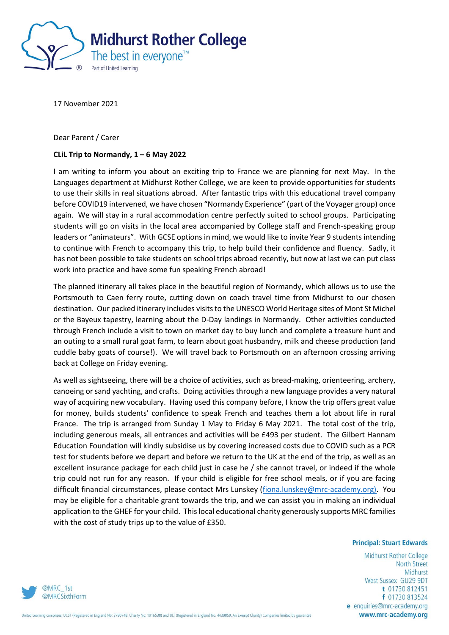

17 November 2021

Dear Parent / Carer

## **CLiL Trip to Normandy, 1 – 6 May 2022**

I am writing to inform you about an exciting trip to France we are planning for next May. In the Languages department at Midhurst Rother College, we are keen to provide opportunities for students to use their skills in real situations abroad. After fantastic trips with this educational travel company before COVID19 intervened, we have chosen "Normandy Experience" (part of the Voyager group) once again. We will stay in a rural accommodation centre perfectly suited to school groups. Participating students will go on visits in the local area accompanied by College staff and French-speaking group leaders or "animateurs". With GCSE options in mind, we would like to invite Year 9 students intending to continue with French to accompany this trip, to help build their confidence and fluency. Sadly, it has not been possible to take students on school trips abroad recently, but now at last we can put class work into practice and have some fun speaking French abroad!

The planned itinerary all takes place in the beautiful region of Normandy, which allows us to use the Portsmouth to Caen ferry route, cutting down on coach travel time from Midhurst to our chosen destination. Our packed itinerary includes visits to the UNESCO World Heritage sites of Mont St Michel or the Bayeux tapestry, learning about the D-Day landings in Normandy. Other activities conducted through French include a visit to town on market day to buy lunch and complete a treasure hunt and an outing to a small rural goat farm, to learn about goat husbandry, milk and cheese production (and cuddle baby goats of course!). We will travel back to Portsmouth on an afternoon crossing arriving back at College on Friday evening.

As well as sightseeing, there will be a choice of activities, such as bread-making, orienteering, archery, canoeing or sand yachting, and crafts. Doing activities through a new language provides a very natural way of acquiring new vocabulary. Having used this company before, I know the trip offers great value for money, builds students' confidence to speak French and teaches them a lot about life in rural France. The trip is arranged from Sunday 1 May to Friday 6 May 2021. The total cost of the trip, including generous meals, all entrances and activities will be £493 per student. The Gilbert Hannam Education Foundation will kindly subsidise us by covering increased costs due to COVID such as a PCR test for students before we depart and before we return to the UK at the end of the trip, as well as an excellent insurance package for each child just in case he / she cannot travel, or indeed if the whole trip could not run for any reason. If your child is eligible for free school meals, or if you are facing difficult financial circumstances, please contact Mrs Lunskey [\(fiona.lunskey@mrc-academy.org\).](mailto:fiona.lunskey@mrc-academy.org) You may be eligible for a charitable grant towards the trip, and we can assist you in making an individual application to the GHEF for your child. This local educational charity generously supports MRC families with the cost of study trips up to the value of £350.

## **Principal: Stuart Edwards**

Midhurst Rother College **North Street** Midhurst West Sussex GU29 9DT t 01730 812451 f 01730 813524 e enquiries@mrc-academy.org www.mrc-academy.org